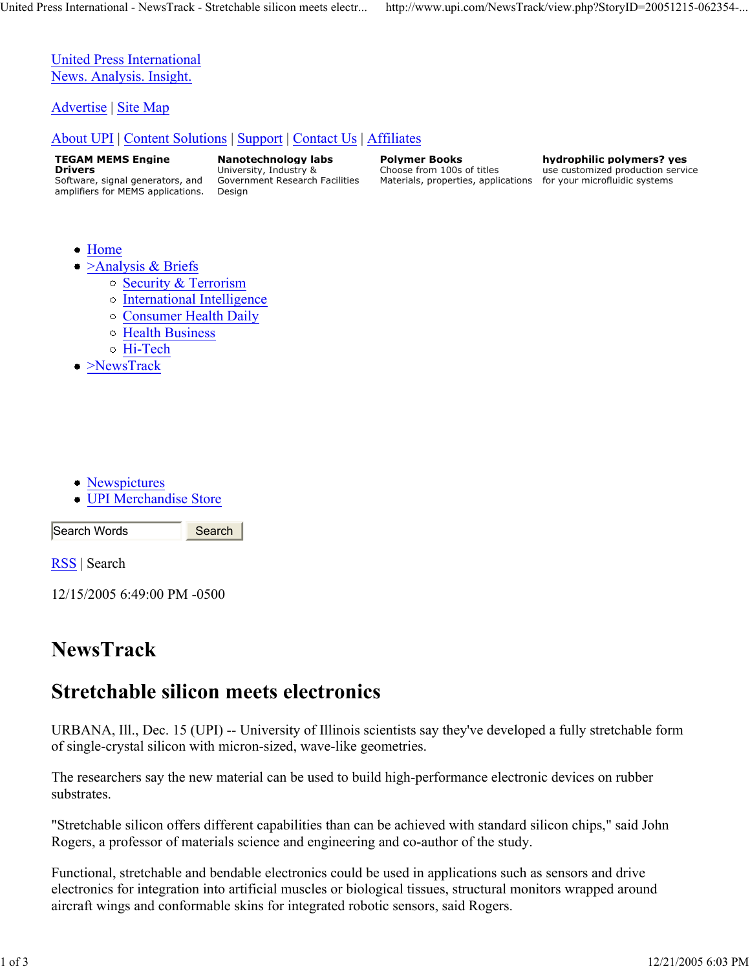United Press International News. Analysis. Insight.

Advertise | Site Map

### About UPI | Content Solutions | Support | Contact Us | Affiliates

**TEGAM MEMS Engine Drivers** Software, signal generators, and amplifiers for MEMS applications.

**Nanotechnology labs** University, Industry & Government Research Facilities Design

**Polymer Books** Choose from 100s of titles Materials, properties, applications for your microfluidic systems

**hydrophilic polymers? yes** use customized production service

- Home
- $\ge$ Analysis & Briefs
	- o Security & Terrorism
	- International Intelligence
	- Consumer Health Daily
	- Health Business
	- Hi-Tech
- >NewsTrack

- Newspictures
- UPI Merchandise Store

Search Words

RSS | Search

12/15/2005 6:49:00 PM -0500

# **NewsTrack**

# **Stretchable silicon meets electronics**

**Search** 

URBANA, Ill., Dec. 15 (UPI) -- University of Illinois scientists say they've developed a fully stretchable form of single-crystal silicon with micron-sized, wave-like geometries.

The researchers say the new material can be used to build high-performance electronic devices on rubber substrates.

"Stretchable silicon offers different capabilities than can be achieved with standard silicon chips," said John Rogers, a professor of materials science and engineering and co-author of the study.

Functional, stretchable and bendable electronics could be used in applications such as sensors and drive electronics for integration into artificial muscles or biological tissues, structural monitors wrapped around aircraft wings and conformable skins for integrated robotic sensors, said Rogers.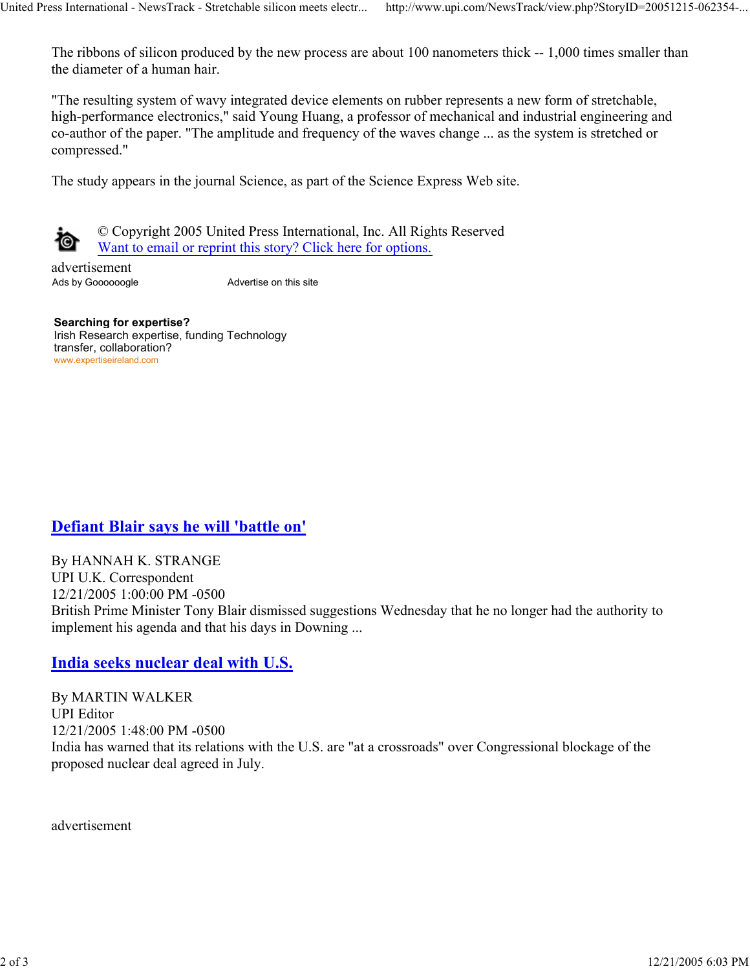The ribbons of silicon produced by the new process are about 100 nanometers thick -- 1,000 times smaller than the diameter of a human hair.

"The resulting system of wavy integrated device elements on rubber represents a new form of stretchable, high-performance electronics," said Young Huang, a professor of mechanical and industrial engineering and co-author of the paper. "The amplitude and frequency of the waves change ... as the system is stretched or compressed."

The study appears in the journal Science, as part of the Science Express Web site.



© Copyright 2005 United Press International, Inc. All Rights Reserved Want to email or reprint this story? Click here for options.

advertisement Ads by Goooooogle Advertise on this site

**Searching for expertise?** Irish Research expertise, funding Technology transfer, collaboration? www.expertiseireland.com

## **Defiant Blair says he will 'battle on'**

By HANNAH K. STRANGE UPI U.K. Correspondent 12/21/2005 1:00:00 PM -0500 British Prime Minister Tony Blair dismissed suggestions Wednesday that he no longer had the authority to implement his agenda and that his days in Downing ...

## **India seeks nuclear deal with U.S.**

By MARTIN WALKER UPI Editor 12/21/2005 1:48:00 PM -0500 India has warned that its relations with the U.S. are "at a crossroads" over Congressional blockage of the proposed nuclear deal agreed in July.

advertisement